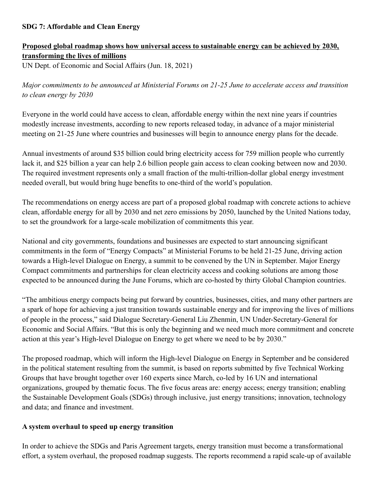## **SDG 7: Affordable and Clean Energy**

# **Proposed global roadmap shows how universal access to sustainable energy can be achieved by 2030, transforming the lives of millions**

UN Dept. of Economic and Social Affairs (Jun. 18, 2021)

*Major commitments to be announced at Ministerial Forums on 21-25 June to accelerate access and transition to clean energy by 2030*

Everyone in the world could have access to clean, affordable energy within the next nine years if countries modestly increase investments, according to new reports released today, in advance of a major ministerial meeting on 21-25 June where countries and businesses will begin to announce energy plans for the decade.

Annual investments of around \$35 billion could bring electricity access for 759 million people who currently lack it, and \$25 billion a year can help 2.6 billion people gain access to clean cooking between now and 2030. The required investment represents only a small fraction of the multi-trillion-dollar global energy investment needed overall, but would bring huge benefits to one-third of the world's population.

The recommendations on energy access are part of a proposed global roadmap with concrete actions to achieve clean, affordable energy for all by 2030 and net zero emissions by 2050, launched by the United Nations today, to set the groundwork for a large-scale mobilization of commitments this year.

National and city governments, foundations and businesses are expected to start announcing significant commitments in the form of "Energy Compacts" at Ministerial Forums to be held 21-25 June, driving action towards a High-level Dialogue on Energy, a summit to be convened by the UN in September. Major Energy Compact commitments and partnerships for clean electricity access and cooking solutions are among those expected to be announced during the June Forums, which are co-hosted by thirty Global Champion countries.

"The ambitious energy compacts being put forward by countries, businesses, cities, and many other partners are a spark of hope for achieving a just transition towards sustainable energy and for improving the lives of millions of people in the process," said Dialogue Secretary-General Liu Zhenmin, UN Under-Secretary-General for Economic and Social Affairs. "But this is only the beginning and we need much more commitment and concrete action at this year's High-level Dialogue on Energy to get where we need to be by 2030."

The proposed roadmap, which will inform the High-level Dialogue on Energy in September and be considered in the political statement resulting from the summit, is based on reports submitted by five Technical Working Groups that have brought together over 160 experts since March, co-led by 16 UN and international organizations, grouped by thematic focus. The five focus areas are: energy access; energy transition; enabling the Sustainable Development Goals (SDGs) through inclusive, just energy transitions; innovation, technology and data; and finance and investment.

#### **A system overhaul to speed up energy transition**

In order to achieve the SDGs and Paris Agreement targets, energy transition must become a transformational effort, a system overhaul, the proposed roadmap suggests. The reports recommend a rapid scale-up of available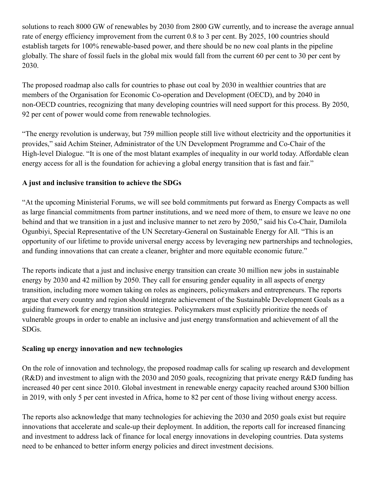solutions to reach 8000 GW of renewables by 2030 from 2800 GW currently, and to increase the average annual rate of energy efficiency improvement from the current 0.8 to 3 per cent. By 2025, 100 countries should establish targets for 100% renewable-based power, and there should be no new coal plants in the pipeline globally. The share of fossil fuels in the global mix would fall from the current 60 per cent to 30 per cent by 2030.

The proposed roadmap also calls for countries to phase out coal by 2030 in wealthier countries that are members of the Organisation for Economic Co-operation and Development (OECD), and by 2040 in non-OECD countries, recognizing that many developing countries will need support for this process. By 2050, 92 per cent of power would come from renewable technologies.

"The energy revolution is underway, but 759 million people still live without electricity and the opportunities it provides," said Achim Steiner, Administrator of the UN Development Programme and Co-Chair of the High-level Dialogue. "It is one of the most blatant examples of inequality in our world today. Affordable clean energy access for all is the foundation for achieving a global energy transition that is fast and fair."

## **A just and inclusive transition to achieve the SDGs**

"At the upcoming Ministerial Forums, we will see bold commitments put forward as Energy Compacts as well as large financial commitments from partner institutions, and we need more of them, to ensure we leave no one behind and that we transition in a just and inclusive manner to net zero by 2050," said his Co-Chair, Damilola Ogunbiyi, Special Representative of the UN Secretary-General on Sustainable Energy for All. "This is an opportunity of our lifetime to provide universal energy access by leveraging new partnerships and technologies, and funding innovations that can create a cleaner, brighter and more equitable economic future."

The reports indicate that a just and inclusive energy transition can create 30 million new jobs in sustainable energy by 2030 and 42 million by 2050. They call for ensuring gender equality in all aspects of energy transition, including more women taking on roles as engineers, policymakers and entrepreneurs. The reports argue that every country and region should integrate achievement of the Sustainable Development Goals as a guiding framework for energy transition strategies. Policymakers must explicitly prioritize the needs of vulnerable groups in order to enable an inclusive and just energy transformation and achievement of all the SDGs.

## **Scaling up energy innovation and new technologies**

On the role of innovation and technology, the proposed roadmap calls for scaling up research and development (R&D) and investment to align with the 2030 and 2050 goals, recognizing that private energy R&D funding has increased 40 per cent since 2010. Global investment in renewable energy capacity reached around \$300 billion in 2019, with only 5 per cent invested in Africa, home to 82 per cent of those living without energy access.

The reports also acknowledge that many technologies for achieving the 2030 and 2050 goals exist but require innovations that accelerate and scale-up their deployment. In addition, the reports call for increased financing and investment to address lack of finance for local energy innovations in developing countries. Data systems need to be enhanced to better inform energy policies and direct investment decisions.